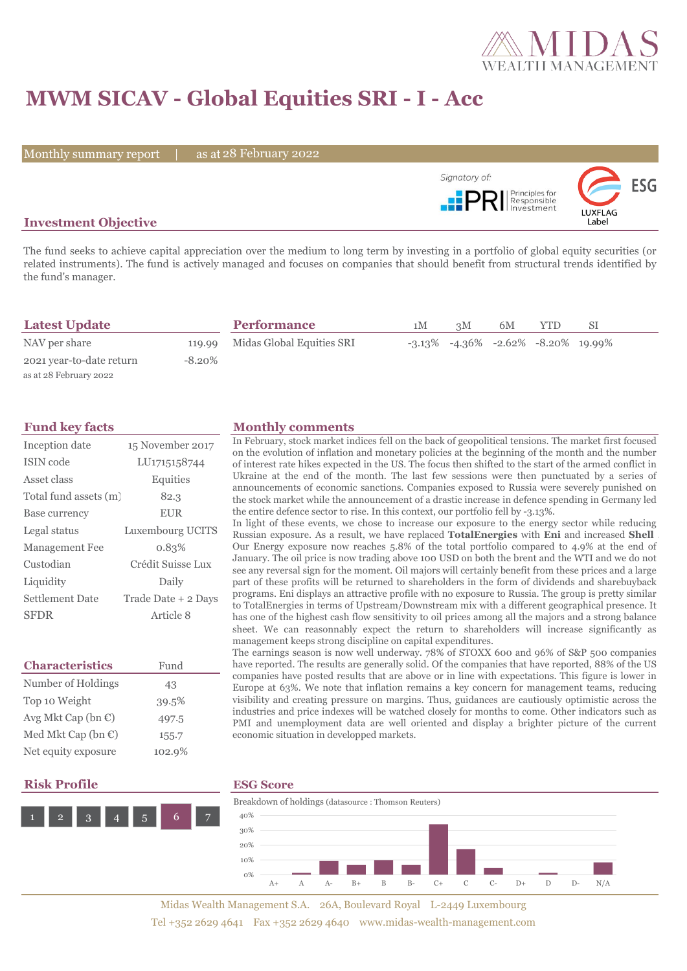

# **MWM SICAV - Global Equities SRI - I - Acc**

Monthly summary report | as at 28 February 2022



### **Investment Objective**

The fund seeks to achieve capital appreciation over the medium to long term by investing in a portfolio of global equity securities (or related instruments). The fund is actively managed and focuses on companies that should benefit from structural trends identified by the fund's manager.

| <b>Latest Update</b>     |           | <b>Performance</b>        | 1M | 3M                                             | 6M | YTD | SІ |  |
|--------------------------|-----------|---------------------------|----|------------------------------------------------|----|-----|----|--|
| NAV per share            | 119.99    | Midas Global Equities SRI |    | $-3.13\%$ $-4.36\%$ $-2.62\%$ $-8.20\%$ 19.99% |    |     |    |  |
| 2021 year-to-date return | $-8.20\%$ |                           |    |                                                |    |     |    |  |
| as at 28 February 2022   |           |                           |    |                                                |    |     |    |  |

| Inception date         | 15 November 2017    |  |  |  |  |
|------------------------|---------------------|--|--|--|--|
| ISIN code              | LU1715158744        |  |  |  |  |
| Asset class            | Equities            |  |  |  |  |
| Total fund assets (m)  | 82.3                |  |  |  |  |
| Base currency          | <b>EUR</b>          |  |  |  |  |
| Legal status           | Luxembourg UCITS    |  |  |  |  |
| <b>Management Fee</b>  | 0.83%               |  |  |  |  |
| Custodian              | Crédit Suisse Lux   |  |  |  |  |
| Liquidity              | Daily               |  |  |  |  |
| <b>Settlement Date</b> | Trade Date + 2 Days |  |  |  |  |
| <b>SFDR</b>            | Article 8           |  |  |  |  |

| <b>Characteristics</b>         | Fund   |
|--------------------------------|--------|
| Number of Holdings             | 43     |
| Top 10 Weight                  | 39.5%  |
| Avg Mkt Cap (bn $\mathbb{C}$ ) | 497.5  |
| Med Mkt Cap (bn $\mathbb{C}$ ) | 155.7  |
| Net equity exposure            | 102.9% |

### **Risk Profile ESG Score**



### **Fund key facts Monthly comments**

In February, stock market indices fell on the back of geopolitical tensions. The market first focused on the evolution of inflation and monetary policies at the beginning of the month and the number of interest rate hikes expected in the US. The focus then shifted to the start of the armed conflict in Ukraine at the end of the month. The last few sessions were then punctuated by a series of announcements of economic sanctions. Companies exposed to Russia were severely punished on the stock market while the announcement of a drastic increase in defence spending in Germany led the entire defence sector to rise. In this context, our portfolio fell by -3.13%.

In light of these events, we chose to increase our exposure to the energy sector while reducing Russian exposure. As a result, we have replaced **TotalEnergies** with **Eni** and increased **Shell** . Our Energy exposure now reaches 5.8% of the total portfolio compared to 4.9% at the end of January. The oil price is now trading above 100 USD on both the brent and the WTI and we do not see any reversal sign for the moment. Oil majors will certainly benefit from these prices and a large part of these profits will be returned to shareholders in the form of dividends and sharebuyback programs. Eni displays an attractive profile with no exposure to Russia. The group is pretty similar to TotalEnergies in terms of Upstream/Downstream mix with a different geographical presence. It has one of the highest cash flow sensitivity to oil prices among all the majors and a strong balance sheet. We can reasonnably expect the return to shareholders will increase significantly as management keeps strong discipline on capital expenditures.

The earnings season is now well underway. 78% of STOXX 600 and 96% of S&P 500 companies have reported. The results are generally solid. Of the companies that have reported, 88% of the US companies have posted results that are above or in line with expectations. This figure is lower in Europe at 63%. We note that inflation remains a key concern for management teams, reducing visibility and creating pressure on margins. Thus, guidances are cautiously optimistic across the industries and price indexes will be watched closely for months to come. Other indicators such as PMI and unemployment data are well oriented and display a brighter picture of the current economic situation in developped markets.



Tel +352 2629 4641 Fax +352 2629 4640 www.midas-wealth-management.com Midas Wealth Management S.A. 26A, Boulevard Royal L-2449 Luxembourg